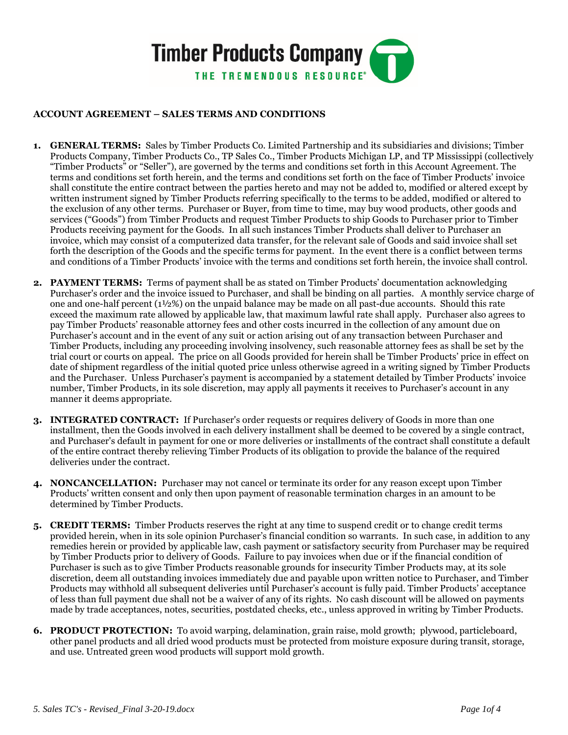

## **ACCOUNT AGREEMENT – SALES TERMS AND CONDITIONS**

- **1. GENERAL TERMS:** Sales by Timber Products Co. Limited Partnership and its subsidiaries and divisions; Timber Products Company, Timber Products Co., TP Sales Co., Timber Products Michigan LP, and TP Mississippi (collectively "Timber Products" or "Seller"), are governed by the terms and conditions set forth in this Account Agreement. The terms and conditions set forth herein, and the terms and conditions set forth on the face of Timber Products' invoice shall constitute the entire contract between the parties hereto and may not be added to, modified or altered except by written instrument signed by Timber Products referring specifically to the terms to be added, modified or altered to the exclusion of any other terms. Purchaser or Buyer, from time to time, may buy wood products, other goods and services ("Goods") from Timber Products and request Timber Products to ship Goods to Purchaser prior to Timber Products receiving payment for the Goods. In all such instances Timber Products shall deliver to Purchaser an invoice, which may consist of a computerized data transfer, for the relevant sale of Goods and said invoice shall set forth the description of the Goods and the specific terms for payment. In the event there is a conflict between terms and conditions of a Timber Products' invoice with the terms and conditions set forth herein, the invoice shall control.
- **2. PAYMENT TERMS:** Terms of payment shall be as stated on Timber Products' documentation acknowledging Purchaser's order and the invoice issued to Purchaser, and shall be binding on all parties. A monthly service charge of one and one-half percent (1½%) on the unpaid balance may be made on all past-due accounts. Should this rate exceed the maximum rate allowed by applicable law, that maximum lawful rate shall apply. Purchaser also agrees to pay Timber Products' reasonable attorney fees and other costs incurred in the collection of any amount due on Purchaser's account and in the event of any suit or action arising out of any transaction between Purchaser and Timber Products, including any proceeding involving insolvency, such reasonable attorney fees as shall be set by the trial court or courts on appeal. The price on all Goods provided for herein shall be Timber Products' price in effect on date of shipment regardless of the initial quoted price unless otherwise agreed in a writing signed by Timber Products and the Purchaser. Unless Purchaser's payment is accompanied by a statement detailed by Timber Products' invoice number, Timber Products, in its sole discretion, may apply all payments it receives to Purchaser's account in any manner it deems appropriate.
- **3. INTEGRATED CONTRACT:** If Purchaser's order requests or requires delivery of Goods in more than one installment, then the Goods involved in each delivery installment shall be deemed to be covered by a single contract, and Purchaser's default in payment for one or more deliveries or installments of the contract shall constitute a default of the entire contract thereby relieving Timber Products of its obligation to provide the balance of the required deliveries under the contract.
- **4. NONCANCELLATION:** Purchaser may not cancel or terminate its order for any reason except upon Timber Products' written consent and only then upon payment of reasonable termination charges in an amount to be determined by Timber Products.
- **5. CREDIT TERMS:** Timber Products reserves the right at any time to suspend credit or to change credit terms provided herein, when in its sole opinion Purchaser's financial condition so warrants. In such case, in addition to any remedies herein or provided by applicable law, cash payment or satisfactory security from Purchaser may be required by Timber Products prior to delivery of Goods. Failure to pay invoices when due or if the financial condition of Purchaser is such as to give Timber Products reasonable grounds for insecurity Timber Products may, at its sole discretion, deem all outstanding invoices immediately due and payable upon written notice to Purchaser, and Timber Products may withhold all subsequent deliveries until Purchaser's account is fully paid. Timber Products' acceptance of less than full payment due shall not be a waiver of any of its rights. No cash discount will be allowed on payments made by trade acceptances, notes, securities, postdated checks, etc., unless approved in writing by Timber Products.
- **6. PRODUCT PROTECTION:** To avoid warping, delamination, grain raise, mold growth; plywood, particleboard, other panel products and all dried wood products must be protected from moisture exposure during transit, storage, and use. Untreated green wood products will support mold growth.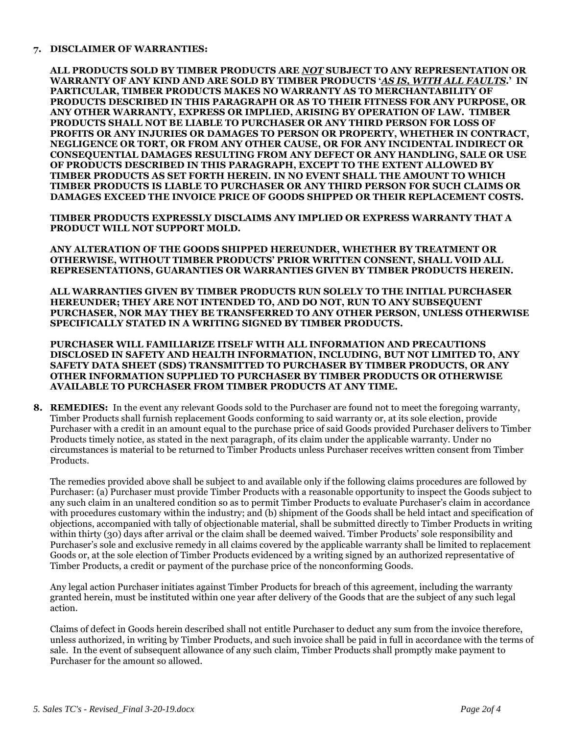## **7. DISCLAIMER OF WARRANTIES:**

**ALL PRODUCTS SOLD BY TIMBER PRODUCTS ARE** *NOT* **SUBJECT TO ANY REPRESENTATION OR WARRANTY OF ANY KIND AND ARE SOLD BY TIMBER PRODUCTS '***AS IS, WITH ALL FAULTS***.' IN PARTICULAR, TIMBER PRODUCTS MAKES NO WARRANTY AS TO MERCHANTABILITY OF PRODUCTS DESCRIBED IN THIS PARAGRAPH OR AS TO THEIR FITNESS FOR ANY PURPOSE, OR ANY OTHER WARRANTY, EXPRESS OR IMPLIED, ARISING BY OPERATION OF LAW. TIMBER PRODUCTS SHALL NOT BE LIABLE TO PURCHASER OR ANY THIRD PERSON FOR LOSS OF PROFITS OR ANY INJURIES OR DAMAGES TO PERSON OR PROPERTY, WHETHER IN CONTRACT, NEGLIGENCE OR TORT, OR FROM ANY OTHER CAUSE, OR FOR ANY INCIDENTAL INDIRECT OR CONSEQUENTIAL DAMAGES RESULTING FROM ANY DEFECT OR ANY HANDLING, SALE OR USE OF PRODUCTS DESCRIBED IN THIS PARAGRAPH, EXCEPT TO THE EXTENT ALLOWED BY TIMBER PRODUCTS AS SET FORTH HEREIN. IN NO EVENT SHALL THE AMOUNT TO WHICH TIMBER PRODUCTS IS LIABLE TO PURCHASER OR ANY THIRD PERSON FOR SUCH CLAIMS OR DAMAGES EXCEED THE INVOICE PRICE OF GOODS SHIPPED OR THEIR REPLACEMENT COSTS.** 

**TIMBER PRODUCTS EXPRESSLY DISCLAIMS ANY IMPLIED OR EXPRESS WARRANTY THAT A PRODUCT WILL NOT SUPPORT MOLD.** 

**ANY ALTERATION OF THE GOODS SHIPPED HEREUNDER, WHETHER BY TREATMENT OR OTHERWISE, WITHOUT TIMBER PRODUCTS' PRIOR WRITTEN CONSENT, SHALL VOID ALL REPRESENTATIONS, GUARANTIES OR WARRANTIES GIVEN BY TIMBER PRODUCTS HEREIN.** 

**ALL WARRANTIES GIVEN BY TIMBER PRODUCTS RUN SOLELY TO THE INITIAL PURCHASER HEREUNDER; THEY ARE NOT INTENDED TO, AND DO NOT, RUN TO ANY SUBSEQUENT PURCHASER, NOR MAY THEY BE TRANSFERRED TO ANY OTHER PERSON, UNLESS OTHERWISE SPECIFICALLY STATED IN A WRITING SIGNED BY TIMBER PRODUCTS.** 

**PURCHASER WILL FAMILIARIZE ITSELF WITH ALL INFORMATION AND PRECAUTIONS DISCLOSED IN SAFETY AND HEALTH INFORMATION, INCLUDING, BUT NOT LIMITED TO, ANY SAFETY DATA SHEET (SDS) TRANSMITTED TO PURCHASER BY TIMBER PRODUCTS, OR ANY OTHER INFORMATION SUPPLIED TO PURCHASER BY TIMBER PRODUCTS OR OTHERWISE AVAILABLE TO PURCHASER FROM TIMBER PRODUCTS AT ANY TIME.** 

**8. REMEDIES:** In the event any relevant Goods sold to the Purchaser are found not to meet the foregoing warranty, Timber Products shall furnish replacement Goods conforming to said warranty or, at its sole election, provide Purchaser with a credit in an amount equal to the purchase price of said Goods provided Purchaser delivers to Timber Products timely notice, as stated in the next paragraph, of its claim under the applicable warranty. Under no circumstances is material to be returned to Timber Products unless Purchaser receives written consent from Timber Products.

The remedies provided above shall be subject to and available only if the following claims procedures are followed by Purchaser: (a) Purchaser must provide Timber Products with a reasonable opportunity to inspect the Goods subject to any such claim in an unaltered condition so as to permit Timber Products to evaluate Purchaser's claim in accordance with procedures customary within the industry; and (b) shipment of the Goods shall be held intact and specification of objections, accompanied with tally of objectionable material, shall be submitted directly to Timber Products in writing within thirty (30) days after arrival or the claim shall be deemed waived. Timber Products' sole responsibility and Purchaser's sole and exclusive remedy in all claims covered by the applicable warranty shall be limited to replacement Goods or, at the sole election of Timber Products evidenced by a writing signed by an authorized representative of Timber Products, a credit or payment of the purchase price of the nonconforming Goods.

Any legal action Purchaser initiates against Timber Products for breach of this agreement, including the warranty granted herein, must be instituted within one year after delivery of the Goods that are the subject of any such legal action.

Claims of defect in Goods herein described shall not entitle Purchaser to deduct any sum from the invoice therefore, unless authorized, in writing by Timber Products, and such invoice shall be paid in full in accordance with the terms of sale. In the event of subsequent allowance of any such claim, Timber Products shall promptly make payment to Purchaser for the amount so allowed.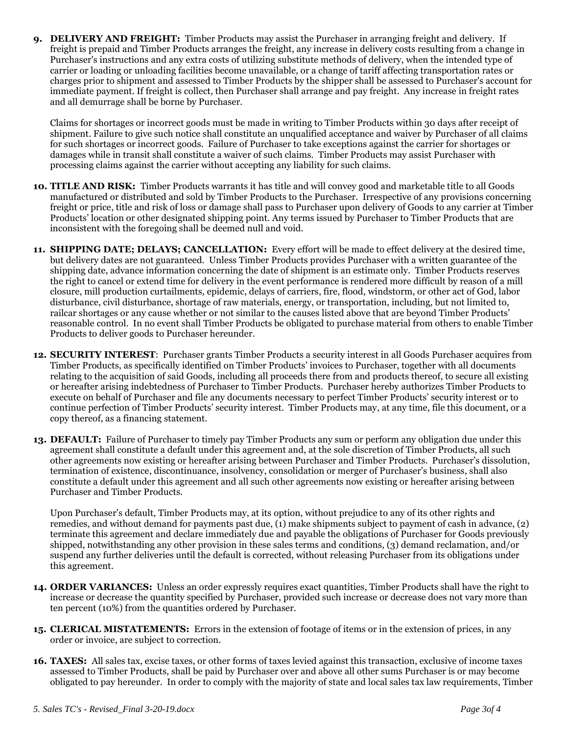**9. DELIVERY AND FREIGHT:** Timber Products may assist the Purchaser in arranging freight and delivery. If freight is prepaid and Timber Products arranges the freight, any increase in delivery costs resulting from a change in Purchaser's instructions and any extra costs of utilizing substitute methods of delivery, when the intended type of carrier or loading or unloading facilities become unavailable, or a change of tariff affecting transportation rates or charges prior to shipment and assessed to Timber Products by the shipper shall be assessed to Purchaser's account for immediate payment. If freight is collect, then Purchaser shall arrange and pay freight. Any increase in freight rates and all demurrage shall be borne by Purchaser.

Claims for shortages or incorrect goods must be made in writing to Timber Products within 30 days after receipt of shipment. Failure to give such notice shall constitute an unqualified acceptance and waiver by Purchaser of all claims for such shortages or incorrect goods. Failure of Purchaser to take exceptions against the carrier for shortages or damages while in transit shall constitute a waiver of such claims. Timber Products may assist Purchaser with processing claims against the carrier without accepting any liability for such claims.

- **10. TITLE AND RISK:** Timber Products warrants it has title and will convey good and marketable title to all Goods manufactured or distributed and sold by Timber Products to the Purchaser. Irrespective of any provisions concerning freight or price, title and risk of loss or damage shall pass to Purchaser upon delivery of Goods to any carrier at Timber Products' location or other designated shipping point. Any terms issued by Purchaser to Timber Products that are inconsistent with the foregoing shall be deemed null and void.
- **11. SHIPPING DATE; DELAYS; CANCELLATION:** Every effort will be made to effect delivery at the desired time, but delivery dates are not guaranteed. Unless Timber Products provides Purchaser with a written guarantee of the shipping date, advance information concerning the date of shipment is an estimate only. Timber Products reserves the right to cancel or extend time for delivery in the event performance is rendered more difficult by reason of a mill closure, mill production curtailments, epidemic, delays of carriers, fire, flood, windstorm, or other act of God, labor disturbance, civil disturbance, shortage of raw materials, energy, or transportation, including, but not limited to, railcar shortages or any cause whether or not similar to the causes listed above that are beyond Timber Products' reasonable control. In no event shall Timber Products be obligated to purchase material from others to enable Timber Products to deliver goods to Purchaser hereunder.
- **12. SECURITY INTEREST**: Purchaser grants Timber Products a security interest in all Goods Purchaser acquires from Timber Products, as specifically identified on Timber Products' invoices to Purchaser, together with all documents relating to the acquisition of said Goods, including all proceeds there from and products thereof, to secure all existing or hereafter arising indebtedness of Purchaser to Timber Products. Purchaser hereby authorizes Timber Products to execute on behalf of Purchaser and file any documents necessary to perfect Timber Products' security interest or to continue perfection of Timber Products' security interest. Timber Products may, at any time, file this document, or a copy thereof, as a financing statement.
- **13. DEFAULT:** Failure of Purchaser to timely pay Timber Products any sum or perform any obligation due under this agreement shall constitute a default under this agreement and, at the sole discretion of Timber Products, all such other agreements now existing or hereafter arising between Purchaser and Timber Products. Purchaser's dissolution, termination of existence, discontinuance, insolvency, consolidation or merger of Purchaser's business, shall also constitute a default under this agreement and all such other agreements now existing or hereafter arising between Purchaser and Timber Products.

Upon Purchaser's default, Timber Products may, at its option, without prejudice to any of its other rights and remedies, and without demand for payments past due, (1) make shipments subject to payment of cash in advance, (2) terminate this agreement and declare immediately due and payable the obligations of Purchaser for Goods previously shipped, notwithstanding any other provision in these sales terms and conditions, (3) demand reclamation, and/or suspend any further deliveries until the default is corrected, without releasing Purchaser from its obligations under this agreement.

- **14. ORDER VARIANCES:** Unless an order expressly requires exact quantities, Timber Products shall have the right to increase or decrease the quantity specified by Purchaser, provided such increase or decrease does not vary more than ten percent (10%) from the quantities ordered by Purchaser.
- **15. CLERICAL MISTATEMENTS:** Errors in the extension of footage of items or in the extension of prices, in any order or invoice, are subject to correction.
- **16. TAXES:** All sales tax, excise taxes, or other forms of taxes levied against this transaction, exclusive of income taxes assessed to Timber Products, shall be paid by Purchaser over and above all other sums Purchaser is or may become obligated to pay hereunder. In order to comply with the majority of state and local sales tax law requirements, Timber